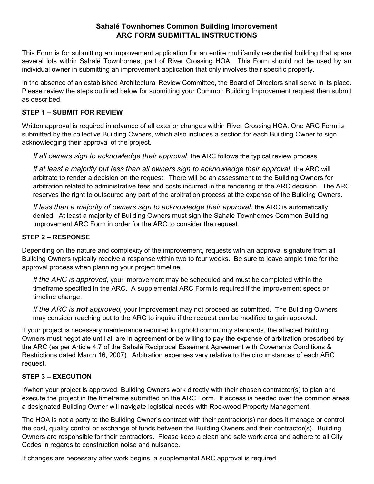## Sahalé Townhomes Common Building Improvement ARC FORM SUBMITTAL INSTRUCTIONS

This Form is for submitting an improvement application for an entire multifamily residential building that spans several lots within Sahalé Townhomes, part of River Crossing HOA. This Form should not be used by an individual owner in submitting an improvement application that only involves their specific property.

In the absence of an established Architectural Review Committee, the Board of Directors shall serve in its place. Please review the steps outlined below for submitting your Common Building Improvement request then submit as described.

### STEP 1 – SUBMIT FOR REVIEW

Written approval is required in advance of all exterior changes within River Crossing HOA. One ARC Form is submitted by the collective Building Owners, which also includes a section for each Building Owner to sign acknowledging their approval of the project.

If all owners sign to acknowledge their approval, the ARC follows the typical review process.

If at least a majority but less than all owners sign to acknowledge their approval, the ARC will arbitrate to render a decision on the request. There will be an assessment to the Building Owners for arbitration related to administrative fees and costs incurred in the rendering of the ARC decision. The ARC reserves the right to outsource any part of the arbitration process at the expense of the Building Owners.

If less than a majority of owners sign to acknowledge their approval, the ARC is automatically denied. At least a majority of Building Owners must sign the Sahalé Townhomes Common Building Improvement ARC Form in order for the ARC to consider the request.

### STEP 2 – RESPONSE

Depending on the nature and complexity of the improvement, requests with an approval signature from all Building Owners typically receive a response within two to four weeks. Be sure to leave ample time for the approval process when planning your project timeline.

If the ARC is approved, your improvement may be scheduled and must be completed within the timeframe specified in the ARC. A supplemental ARC Form is required if the improvement specs or timeline change.

If the ARC is not approved, your improvement may not proceed as submitted. The Building Owners may consider reaching out to the ARC to inquire if the request can be modified to gain approval.

If your project is necessary maintenance required to uphold community standards, the affected Building Owners must negotiate until all are in agreement or be willing to pay the expense of arbitration prescribed by the ARC (as per Article 4.7 of the Sahalé Reciprocal Easement Agreement with Covenants Conditions & Restrictions dated March 16, 2007). Arbitration expenses vary relative to the circumstances of each ARC request.

## STEP 3 – EXECUTION

If/when your project is approved, Building Owners work directly with their chosen contractor(s) to plan and execute the project in the timeframe submitted on the ARC Form. If access is needed over the common areas, a designated Building Owner will navigate logistical needs with Rockwood Property Management.

The HOA is not a party to the Building Owner's contract with their contractor(s) nor does it manage or control the cost, quality control or exchange of funds between the Building Owners and their contractor(s). Building Owners are responsible for their contractors. Please keep a clean and safe work area and adhere to all City Codes in regards to construction noise and nuisance.

If changes are necessary after work begins, a supplemental ARC approval is required.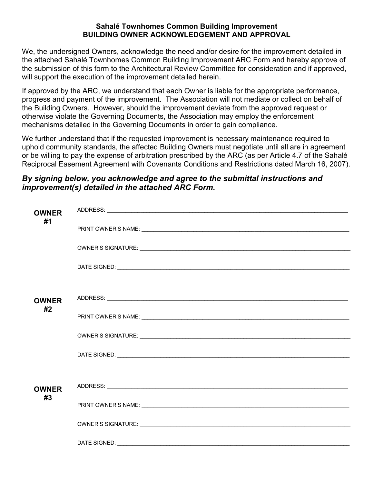#### Sahalé Townhomes Common Building Improvement BUILDING OWNER ACKNOWLEDGEMENT AND APPROVAL

We, the undersigned Owners, acknowledge the need and/or desire for the improvement detailed in the attached Sahalé Townhomes Common Building Improvement ARC Form and hereby approve of the submission of this form to the Architectural Review Committee for consideration and if approved, will support the execution of the improvement detailed herein.

If approved by the ARC, we understand that each Owner is liable for the appropriate performance, progress and payment of the improvement. The Association will not mediate or collect on behalf of the Building Owners. However, should the improvement deviate from the approved request or otherwise violate the Governing Documents, the Association may employ the enforcement mechanisms detailed in the Governing Documents in order to gain compliance.

We further understand that if the requested improvement is necessary maintenance required to uphold community standards, the affected Building Owners must negotiate until all are in agreement or be willing to pay the expense of arbitration prescribed by the ARC (as per Article 4.7 of the Sahalé Reciprocal Easement Agreement with Covenants Conditions and Restrictions dated March 16, 2007).

## By signing below, you acknowledge and agree to the submittal instructions and improvement(s) detailed in the attached ARC Form.

| <b>OWNER</b>       |              |
|--------------------|--------------|
| #1                 |              |
|                    |              |
|                    |              |
|                    |              |
|                    |              |
|                    |              |
|                    |              |
| <b>OWNER</b><br>#2 |              |
|                    |              |
|                    |              |
|                    |              |
|                    |              |
|                    |              |
|                    |              |
|                    |              |
| <b>OWNER</b>       |              |
| #3                 |              |
|                    |              |
|                    |              |
|                    |              |
|                    | DATE SIGNED: |